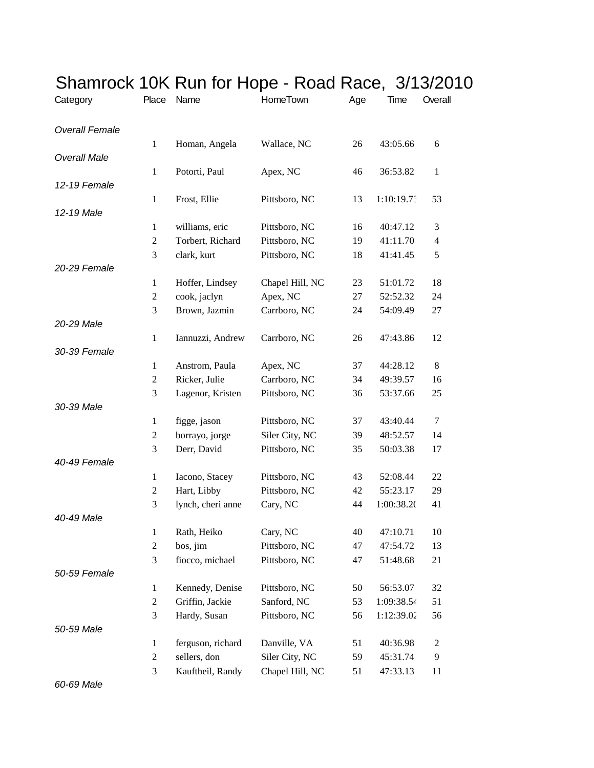| Category              | Place            | Name                           | HomeTown                        | Age      | Time                 | Overall        |
|-----------------------|------------------|--------------------------------|---------------------------------|----------|----------------------|----------------|
| <b>Overall Female</b> |                  |                                |                                 |          |                      |                |
|                       | $\mathbf{1}$     | Homan, Angela                  | Wallace, NC                     | 26       | 43:05.66             | 6              |
| <b>Overall Male</b>   |                  |                                |                                 |          |                      |                |
| 12-19 Female          | $\mathbf{1}$     | Potorti, Paul                  | Apex, NC                        | 46       | 36:53.82             | $\mathbf{1}$   |
|                       | $\mathbf{1}$     | Frost, Ellie                   | Pittsboro, NC                   | 13       | 1:10:19.73           | 53             |
| 12-19 Male            |                  |                                |                                 |          |                      |                |
|                       | 1                | williams, eric                 | Pittsboro, NC                   | 16       | 40:47.12             | 3              |
|                       | $\overline{c}$   | Torbert, Richard               | Pittsboro, NC                   | 19       | 41:11.70             | 4              |
|                       | 3                | clark, kurt                    | Pittsboro, NC                   | 18       | 41:41.45             | 5              |
| 20-29 Female          |                  |                                |                                 |          |                      |                |
|                       | $\mathbf{1}$     | Hoffer, Lindsey                | Chapel Hill, NC                 | 23       | 51:01.72             | 18             |
|                       | $\overline{c}$   | cook, jaclyn                   | Apex, NC                        | 27       | 52:52.32             | 24             |
|                       | 3                | Brown, Jazmin                  | Carrboro, NC                    | 24       | 54:09.49             | 27             |
| 20-29 Male            |                  |                                |                                 |          |                      |                |
|                       | $\mathbf{1}$     | Iannuzzi, Andrew               | Carrboro, NC                    | 26       | 47:43.86             | 12             |
| 30-39 Female          |                  |                                |                                 |          |                      |                |
|                       | 1                | Anstrom, Paula                 | Apex, NC                        | 37       | 44:28.12             | 8              |
|                       | 2                | Ricker, Julie                  | Carrboro, NC                    | 34       | 49:39.57             | 16             |
|                       | 3                | Lagenor, Kristen               | Pittsboro, NC                   | 36       | 53:37.66             | 25             |
| 30-39 Male            |                  |                                |                                 |          |                      | $\tau$         |
|                       | 1<br>2           | figge, jason<br>borrayo, jorge | Pittsboro, NC<br>Siler City, NC | 37<br>39 | 43:40.44<br>48:52.57 | 14             |
|                       | 3                | Derr, David                    | Pittsboro, NC                   | 35       | 50:03.38             | 17             |
| 40-49 Female          |                  |                                |                                 |          |                      |                |
|                       | 1                | Iacono, Stacey                 | Pittsboro, NC                   | 43       | 52:08.44             | 22             |
|                       | $\overline{c}$   | Hart, Libby                    | Pittsboro, NC                   | 42       | 55:23.17             | 29             |
|                       | 3                | lynch, cheri anne              | Cary, NC                        | 44       | 1:00:38.20           | 41             |
| 40-49 Male            |                  |                                |                                 |          |                      |                |
|                       | $\mathbf{1}$     | Rath, Heiko                    | Cary, NC                        | 40       | 47:10.71             | 10             |
|                       | $\overline{c}$   | bos, jim                       | Pittsboro, NC                   | 47       | 47:54.72             | 13             |
|                       | 3                | fiocco, michael                | Pittsboro, NC                   | 47       | 51:48.68             | 21             |
| 50-59 Female          |                  |                                |                                 |          |                      |                |
|                       | $\mathbf{1}$     | Kennedy, Denise                | Pittsboro, NC                   | 50       | 56:53.07             | 32             |
|                       | $\boldsymbol{2}$ | Griffin, Jackie                | Sanford, NC                     | 53       | 1:09:38.54           | 51             |
|                       | 3                | Hardy, Susan                   | Pittsboro, NC                   | 56       | 1:12:39.02           | 56             |
| 50-59 Male            |                  |                                |                                 |          |                      |                |
|                       | 1                | ferguson, richard              | Danville, VA                    | 51       | 40:36.98             | $\overline{c}$ |
|                       | 2                | sellers, don                   | Siler City, NC                  | 59       | 45:31.74             | 9              |
|                       | 3                | Kauftheil, Randy               | Chapel Hill, NC                 | 51       | 47:33.13             | 11             |

## Shamrock 10K Run for Hope - Road Race, 3/13/2010

*60-69 Male*